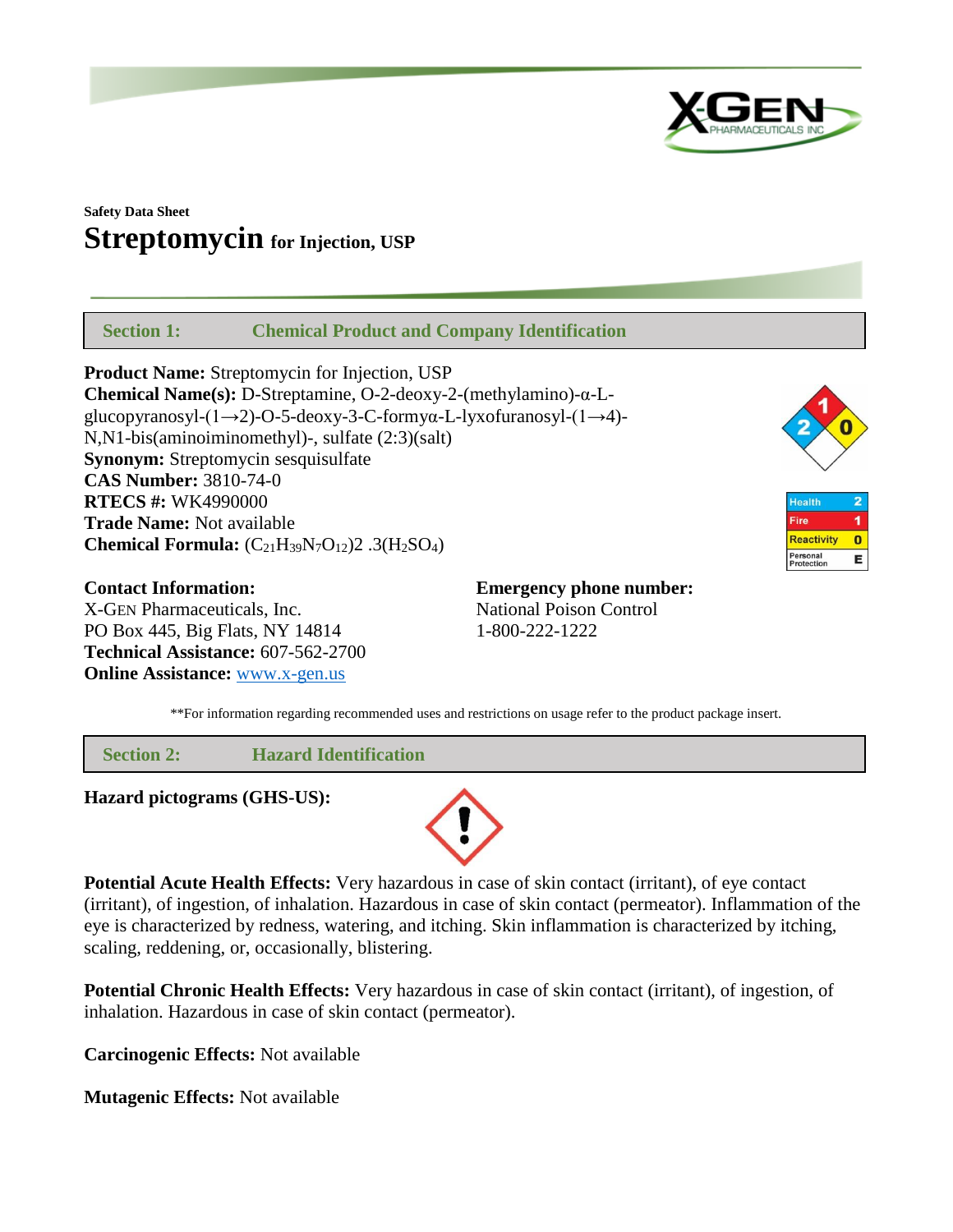

# **Safety Data Sheet Streptomycin for Injection, USP**

 **Section 1: Chemical Product and Company Identification**

**Product Name:** Streptomycin for Injection, USP **Chemical Name(s):** D-Streptamine, O-2-deoxy-2-(methylamino)-α-Lglucopyranosyl-(1→2)-O-5-deoxy-3-C-formyα-L-lyxofuranosyl-(1→4)- N,N1-bis(aminoiminomethyl)-, sulfate (2:3)(salt) **Synonym:** Streptomycin sesquisulfate **CAS Number:** 3810-74-0 **RTECS #:** WK4990000 **Trade Name:** Not available **Chemical Formula:**  $(C_{21}H_{39}N_7O_{12})2$  .3( $H_2SO_4$ )



**Health** 1 Fire Reactivity  $\bullet$ Personal<br>Protection E

**Contact Information: Emergency phone number:** X-GEN Pharmaceuticals, Inc. National Poison Control PO Box 445, Big Flats, NY 14814 1-800-222-1222 **Technical Assistance:** 607-562-2700 **Online Assistance:** [www.x-gen.us](http://www.x-gen.us/)

\*\*For information regarding recommended uses and restrictions on usage refer to the product package insert.

 **Section 2: Hazard Identification**

**Hazard pictograms (GHS-US):**



**Potential Acute Health Effects:** Very hazardous in case of skin contact (irritant), of eye contact (irritant), of ingestion, of inhalation. Hazardous in case of skin contact (permeator). Inflammation of the eye is characterized by redness, watering, and itching. Skin inflammation is characterized by itching, scaling, reddening, or, occasionally, blistering.

**Potential Chronic Health Effects:** Very hazardous in case of skin contact (irritant), of ingestion, of inhalation. Hazardous in case of skin contact (permeator).

**Carcinogenic Effects:** Not available

**Mutagenic Effects:** Not available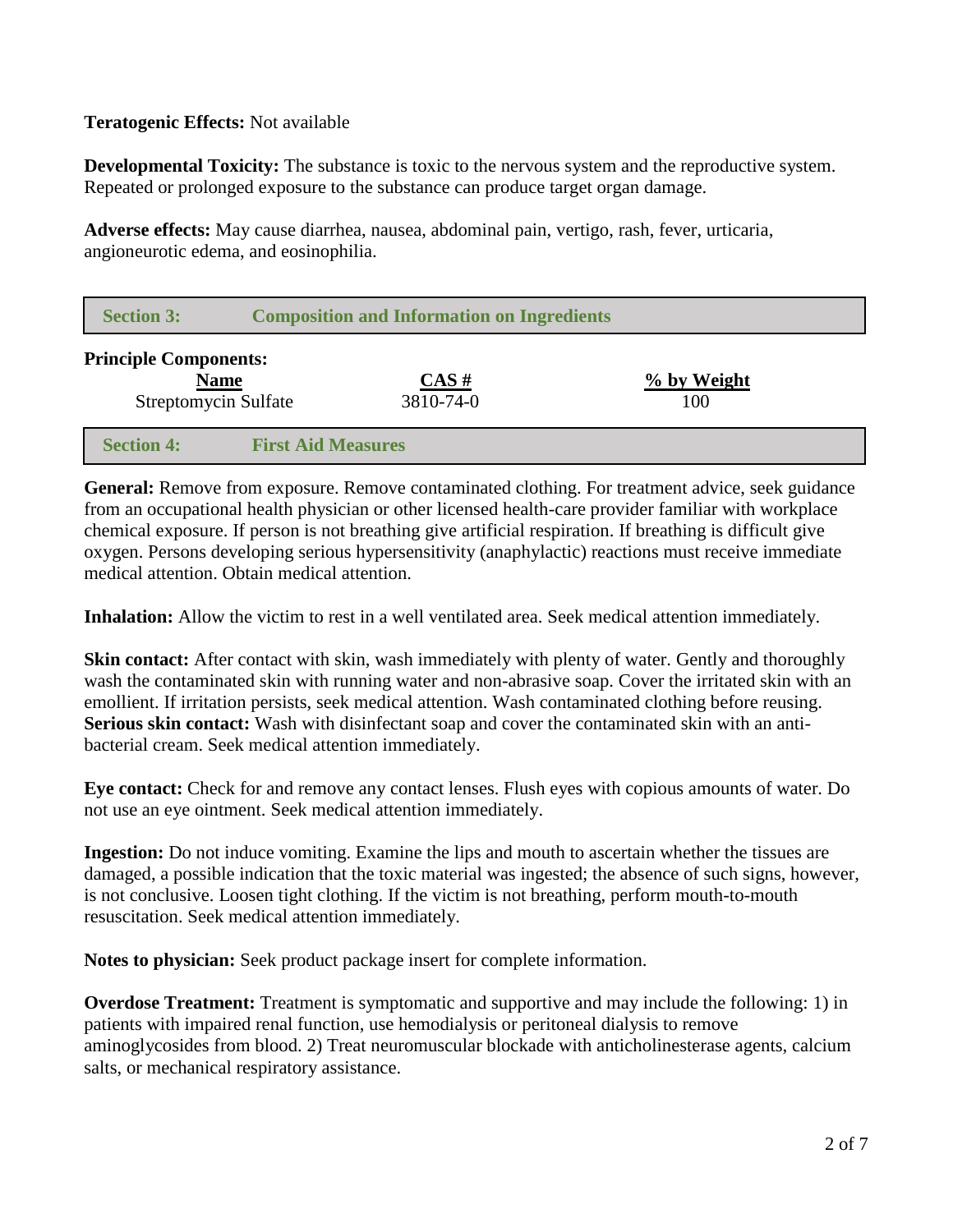# **Teratogenic Effects:** Not available

**Developmental Toxicity:** The substance is toxic to the nervous system and the reproductive system. Repeated or prolonged exposure to the substance can produce target organ damage.

**Adverse effects:** May cause diarrhea, nausea, abdominal pain, vertigo, rash, fever, urticaria, angioneurotic edema, and eosinophilia.

| <b>Section 3:</b>                                           | <b>Composition and Information on Ingredients</b> |                   |                    |  |
|-------------------------------------------------------------|---------------------------------------------------|-------------------|--------------------|--|
| <b>Principle Components:</b><br><b>Streptomycin Sulfate</b> | <b>Name</b>                                       | CAS#<br>3810-74-0 | % by Weight<br>100 |  |
| <b>Section 4:</b>                                           | <b>First Aid Measures</b>                         |                   |                    |  |

**General:** Remove from exposure. Remove contaminated clothing. For treatment advice, seek guidance from an occupational health physician or other licensed health-care provider familiar with workplace chemical exposure. If person is not breathing give artificial respiration. If breathing is difficult give oxygen. Persons developing serious hypersensitivity (anaphylactic) reactions must receive immediate medical attention. Obtain medical attention.

**Inhalation:** Allow the victim to rest in a well ventilated area. Seek medical attention immediately.

**Skin contact:** After contact with skin, wash immediately with plenty of water. Gently and thoroughly wash the contaminated skin with running water and non-abrasive soap. Cover the irritated skin with an emollient. If irritation persists, seek medical attention. Wash contaminated clothing before reusing. **Serious skin contact:** Wash with disinfectant soap and cover the contaminated skin with an antibacterial cream. Seek medical attention immediately.

**Eye contact:** Check for and remove any contact lenses. Flush eyes with copious amounts of water. Do not use an eye ointment. Seek medical attention immediately.

**Ingestion:** Do not induce vomiting. Examine the lips and mouth to ascertain whether the tissues are damaged, a possible indication that the toxic material was ingested; the absence of such signs, however, is not conclusive. Loosen tight clothing. If the victim is not breathing, perform mouth-to-mouth resuscitation. Seek medical attention immediately.

**Notes to physician:** Seek product package insert for complete information.

**Overdose Treatment:** Treatment is symptomatic and supportive and may include the following: 1) in patients with impaired renal function, use hemodialysis or peritoneal dialysis to remove aminoglycosides from blood. 2) Treat neuromuscular blockade with anticholinesterase agents, calcium salts, or mechanical respiratory assistance.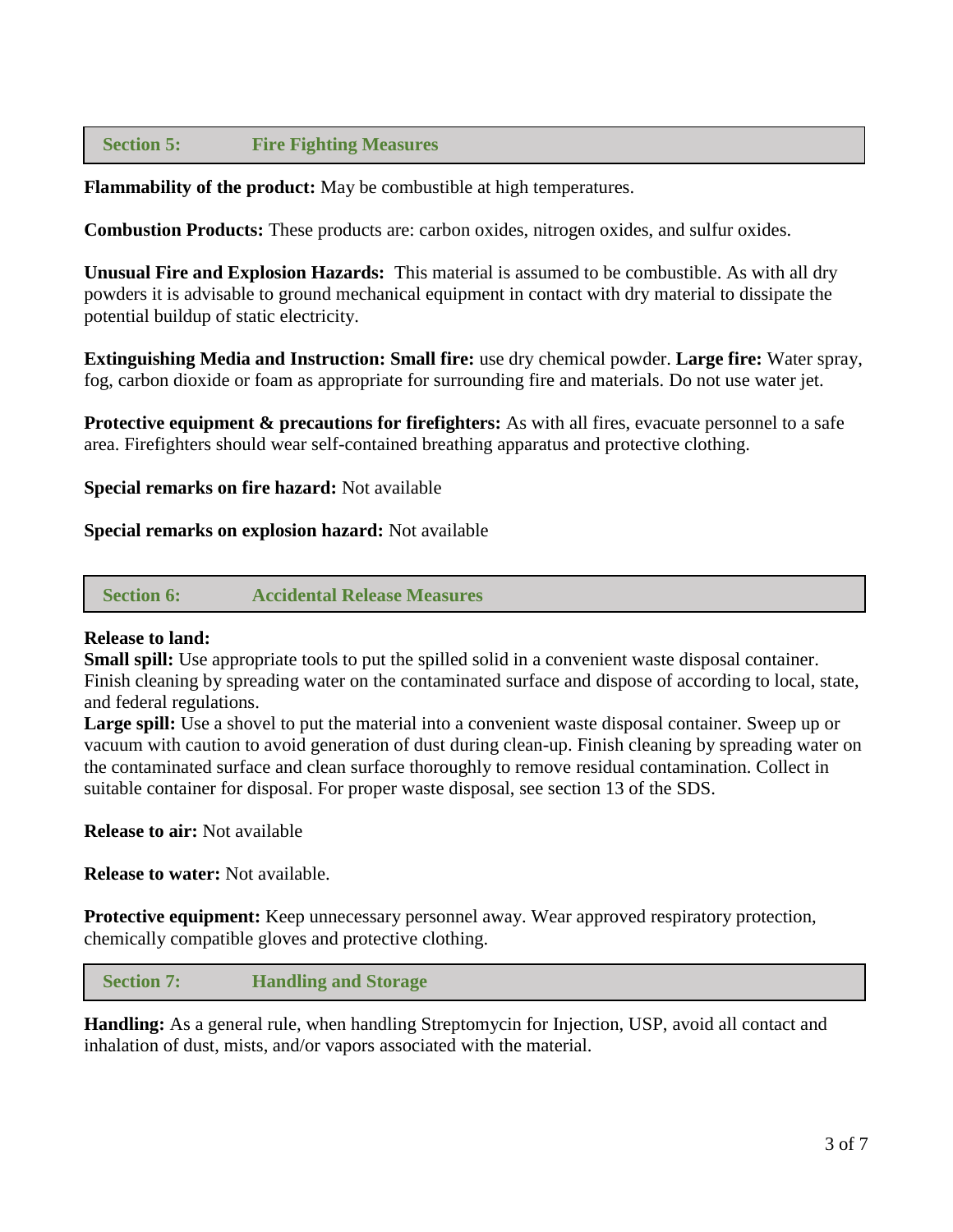## **Section 5: Fire Fighting Measures**

**Flammability of the product:** May be combustible at high temperatures.

**Combustion Products:** These products are: carbon oxides, nitrogen oxides, and sulfur oxides.

**Unusual Fire and Explosion Hazards:** This material is assumed to be combustible. As with all dry powders it is advisable to ground mechanical equipment in contact with dry material to dissipate the potential buildup of static electricity.

**Extinguishing Media and Instruction: Small fire:** use dry chemical powder. **Large fire:** Water spray, fog, carbon dioxide or foam as appropriate for surrounding fire and materials. Do not use water jet.

**Protective equipment & precautions for firefighters:** As with all fires, evacuate personnel to a safe area. Firefighters should wear self-contained breathing apparatus and protective clothing.

**Special remarks on fire hazard:** Not available

#### **Special remarks on explosion hazard:** Not available

 **Section 6: Accidental Release Measures**

#### **Release to land:**

**Small spill:** Use appropriate tools to put the spilled solid in a convenient waste disposal container. Finish cleaning by spreading water on the contaminated surface and dispose of according to local, state, and federal regulations.

**Large spill:** Use a shovel to put the material into a convenient waste disposal container. Sweep up or vacuum with caution to avoid generation of dust during clean-up. Finish cleaning by spreading water on the contaminated surface and clean surface thoroughly to remove residual contamination. Collect in suitable container for disposal. For proper waste disposal, see section 13 of the SDS.

**Release to air:** Not available

**Release to water:** Not available.

**Protective equipment:** Keep unnecessary personnel away. Wear approved respiratory protection, chemically compatible gloves and protective clothing.

 **Section 7: Handling and Storage**

**Handling:** As a general rule, when handling Streptomycin for Injection, USP, avoid all contact and inhalation of dust, mists, and/or vapors associated with the material.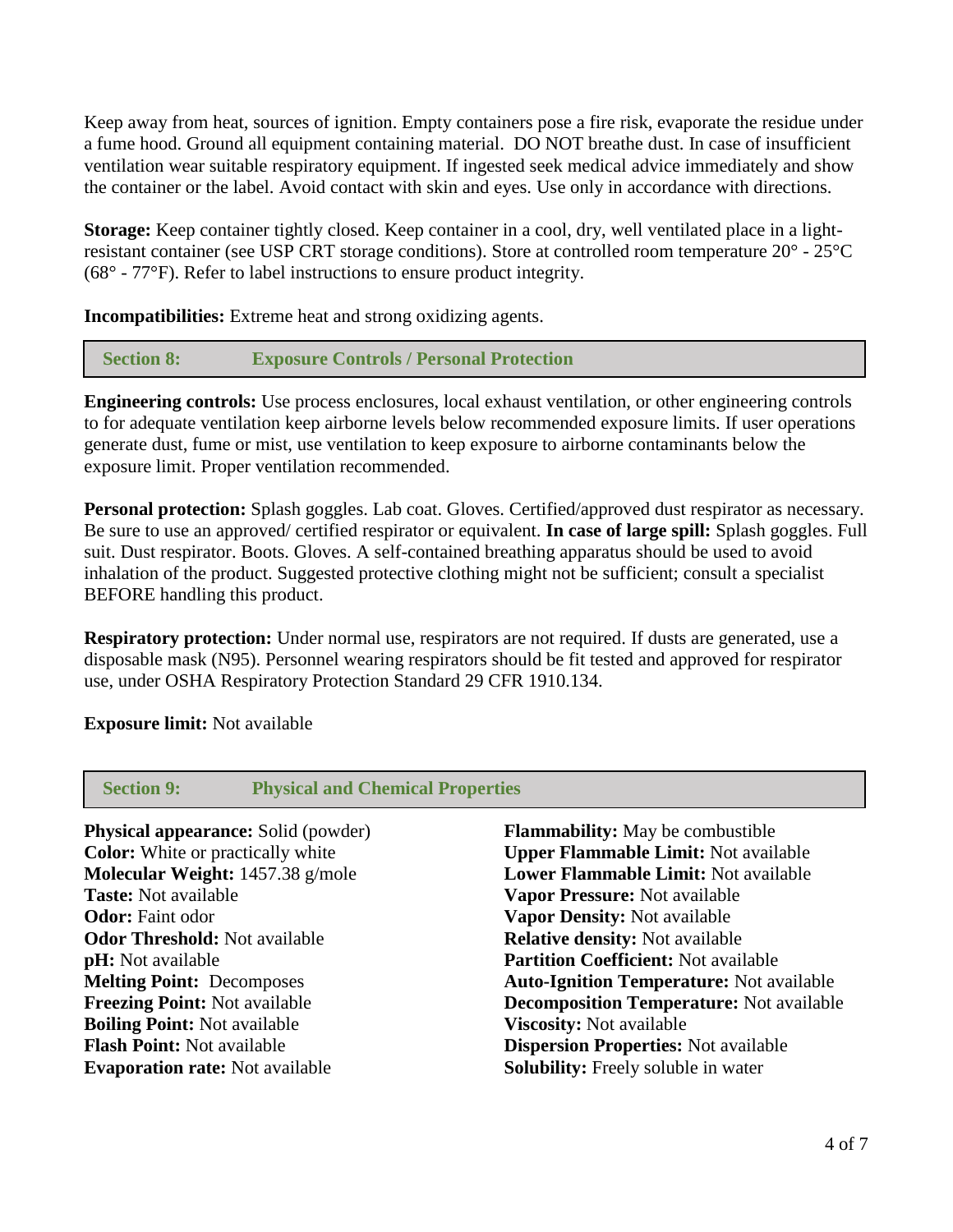Keep away from heat, sources of ignition. Empty containers pose a fire risk, evaporate the residue under a fume hood. Ground all equipment containing material. DO NOT breathe dust. In case of insufficient ventilation wear suitable respiratory equipment. If ingested seek medical advice immediately and show the container or the label. Avoid contact with skin and eyes. Use only in accordance with directions.

**Storage:** Keep container tightly closed. Keep container in a cool, dry, well ventilated place in a lightresistant container (see USP CRT storage conditions). Store at controlled room temperature 20° - 25°C (68° - 77°F). Refer to label instructions to ensure product integrity.

**Incompatibilities:** Extreme heat and strong oxidizing agents.

## **Section 8: Exposure Controls / Personal Protection**

**Engineering controls:** Use process enclosures, local exhaust ventilation, or other engineering controls to for adequate ventilation keep airborne levels below recommended exposure limits. If user operations generate dust, fume or mist, use ventilation to keep exposure to airborne contaminants below the exposure limit. Proper ventilation recommended.

**Personal protection:** Splash goggles. Lab coat. Gloves. Certified/approved dust respirator as necessary. Be sure to use an approved/ certified respirator or equivalent. **In case of large spill:** Splash goggles. Full suit. Dust respirator. Boots. Gloves. A self-contained breathing apparatus should be used to avoid inhalation of the product. Suggested protective clothing might not be sufficient; consult a specialist BEFORE handling this product.

**Respiratory protection:** Under normal use, respirators are not required. If dusts are generated, use a disposable mask (N95). Personnel wearing respirators should be fit tested and approved for respirator use, under OSHA Respiratory Protection Standard 29 CFR 1910.134.

**Exposure limit:** Not available

| <b>Section 9:</b>                          | <b>Physical and Chemical Properties</b>         |  |
|--------------------------------------------|-------------------------------------------------|--|
| <b>Physical appearance:</b> Solid (powder) | <b>Flammability:</b> May be combustible         |  |
| <b>Color:</b> White or practically white   | <b>Upper Flammable Limit: Not available</b>     |  |
| Molecular Weight: 1457.38 g/mole           | <b>Lower Flammable Limit: Not available</b>     |  |
| <b>Taste:</b> Not available                | Vapor Pressure: Not available                   |  |
| <b>Odor:</b> Faint odor                    | Vapor Density: Not available                    |  |
| <b>Odor Threshold:</b> Not available       | <b>Relative density:</b> Not available          |  |
| <b>pH</b> : Not available                  | <b>Partition Coefficient: Not available</b>     |  |
| <b>Melting Point: Decomposes</b>           | <b>Auto-Ignition Temperature:</b> Not available |  |
| <b>Freezing Point: Not available</b>       | <b>Decomposition Temperature:</b> Not available |  |
| <b>Boiling Point: Not available</b>        | <b>Viscosity:</b> Not available                 |  |
| <b>Flash Point: Not available</b>          | <b>Dispersion Properties: Not available</b>     |  |
| <b>Evaporation rate:</b> Not available     | <b>Solubility:</b> Freely soluble in water      |  |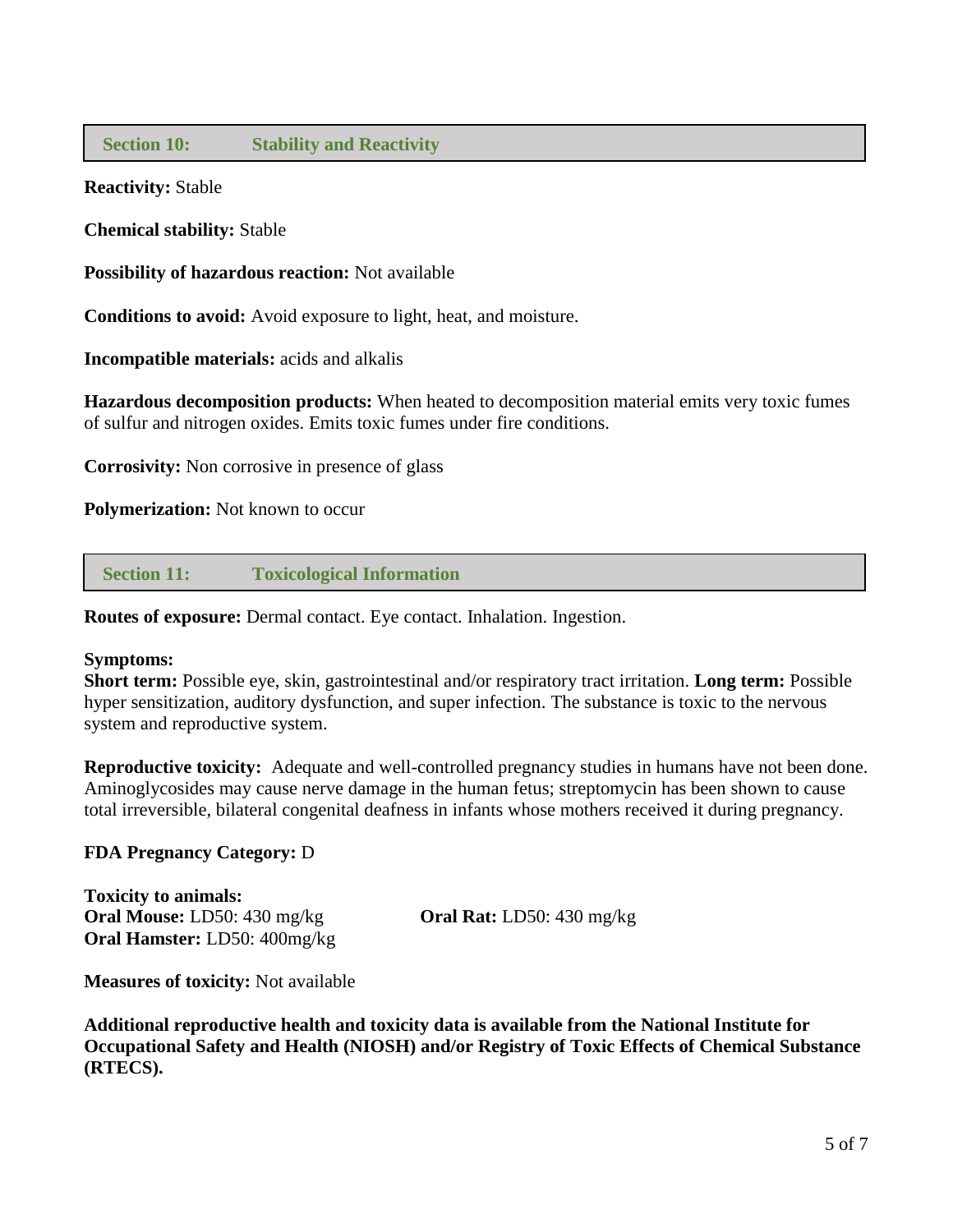## **Section 10: Stability and Reactivity**

**Reactivity:** Stable

**Chemical stability:** Stable

**Possibility of hazardous reaction:** Not available

**Conditions to avoid:** Avoid exposure to light, heat, and moisture.

**Incompatible materials:** acids and alkalis

**Hazardous decomposition products:** When heated to decomposition material emits very toxic fumes of sulfur and nitrogen oxides. Emits toxic fumes under fire conditions.

**Corrosivity:** Non corrosive in presence of glass

**Polymerization:** Not known to occur

 **Section 11: Toxicological Information**

**Routes of exposure:** Dermal contact. Eye contact. Inhalation. Ingestion.

#### **Symptoms:**

**Short term:** Possible eye, skin, gastrointestinal and/or respiratory tract irritation. **Long term:** Possible hyper sensitization, auditory dysfunction, and super infection. The substance is toxic to the nervous system and reproductive system.

**Reproductive toxicity:** Adequate and well-controlled pregnancy studies in humans have not been done. Aminoglycosides may cause nerve damage in the human fetus; streptomycin has been shown to cause total irreversible, bilateral congenital deafness in infants whose mothers received it during pregnancy.

## **FDA Pregnancy Category:** D

**Toxicity to animals: Oral Mouse:** LD50: 430 mg/kg **Oral Rat:** LD50: 430 mg/kg **Oral Hamster:** LD50: 400mg/kg

**Measures of toxicity:** Not available

**Additional reproductive health and toxicity data is available from the National Institute for Occupational Safety and Health (NIOSH) and/or Registry of Toxic Effects of Chemical Substance (RTECS).**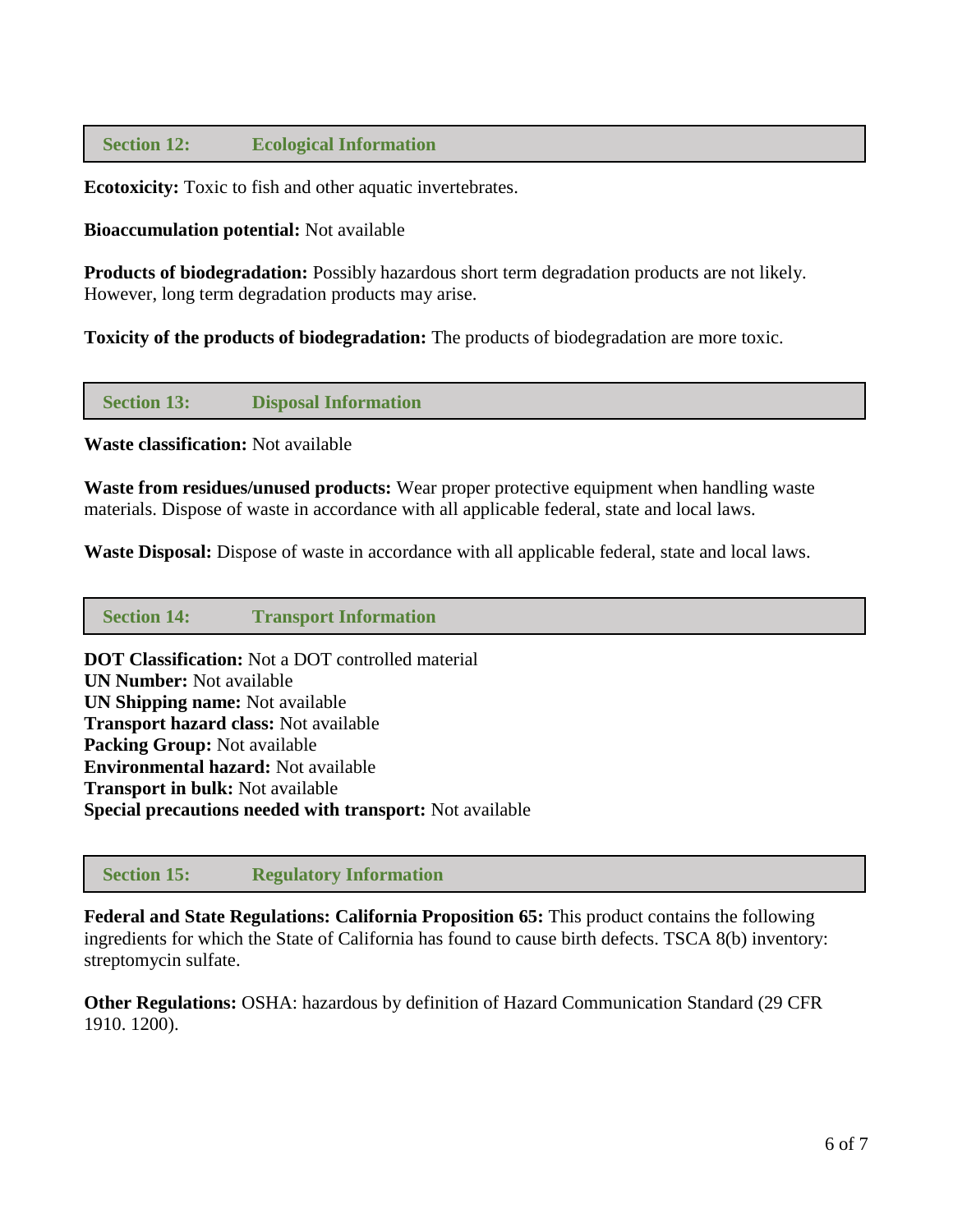# **Section 12: Ecological Information**

**Ecotoxicity:** Toxic to fish and other aquatic invertebrates.

#### **Bioaccumulation potential:** Not available

**Products of biodegradation:** Possibly hazardous short term degradation products are not likely. However, long term degradation products may arise.

**Toxicity of the products of biodegradation:** The products of biodegradation are more toxic.

 **Section 13: Disposal Information**

**Waste classification:** Not available

**Waste from residues/unused products:** Wear proper protective equipment when handling waste materials. Dispose of waste in accordance with all applicable federal, state and local laws.

**Waste Disposal:** Dispose of waste in accordance with all applicable federal, state and local laws.

#### **Section 14: Transport Information**

**DOT Classification:** Not a DOT controlled material **UN Number:** Not available **UN Shipping name:** Not available **Transport hazard class:** Not available **Packing Group:** Not available **Environmental hazard:** Not available **Transport in bulk:** Not available **Special precautions needed with transport:** Not available

 **Section 15: Regulatory Information**

**Federal and State Regulations: California Proposition 65:** This product contains the following ingredients for which the State of California has found to cause birth defects. TSCA 8(b) inventory: streptomycin sulfate.

**Other Regulations:** OSHA: hazardous by definition of Hazard Communication Standard (29 CFR 1910. 1200).